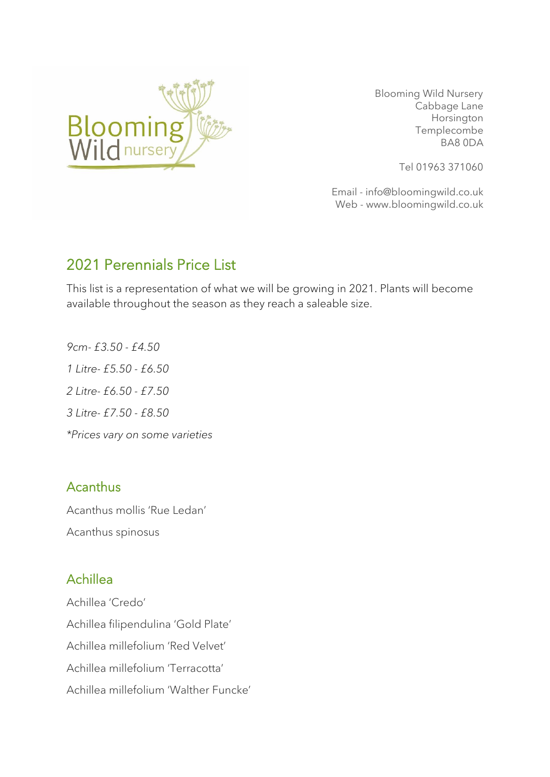

 Blooming Wild Nursery Cabbage Lane Horsington Templecombe BA8 0DA

Tel 01963 371060

Email - info@bloomingwild.co.uk Web - www.bloomingwild.co.uk

# 2021 Perennials Price List

This list is a representation of what we will be growing in 2021. Plants will become available throughout the season as they reach a saleable size.

*9cm- £3.50 - £4.50 1 Litre- £5.50 - £6.50 2 Litre- £6.50 - £7.50 3 Litre- £7.50 - £8.50 \*Prices vary on some varieties*

#### Acanthus

Acanthus mollis 'Rue Ledan' Acanthus spinosus

## Achillea

Achillea 'Credo' Achillea filipendulina 'Gold Plate' Achillea millefolium 'Red Velvet' Achillea millefolium 'Terracotta' Achillea millefolium 'Walther Funcke'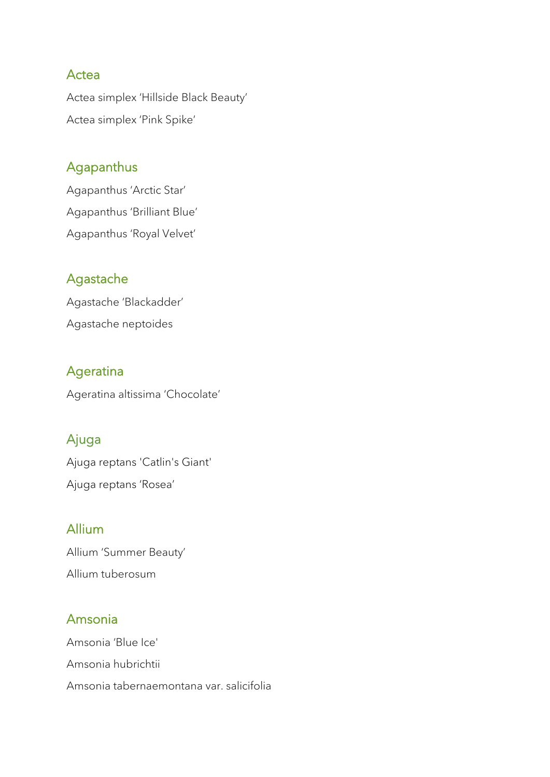#### **Actea**

Actea simplex 'Hillside Black Beauty' Actea simplex 'Pink Spike'

### Agapanthus

Agapanthus 'Arctic Star' Agapanthus 'Brilliant Blue' Agapanthus 'Royal Velvet'

### Agastache

Agastache 'Blackadder' Agastache neptoides

## Ageratina

Ageratina altissima 'Chocolate'

## Ajuga

Ajuga reptans 'Catlin's Giant' Ajuga reptans 'Rosea'

### Allium

Allium 'Summer Beauty' Allium tuberosum

### Amsonia

Amsonia 'Blue Ice' Amsonia hubrichtii Amsonia tabernaemontana var. salicifolia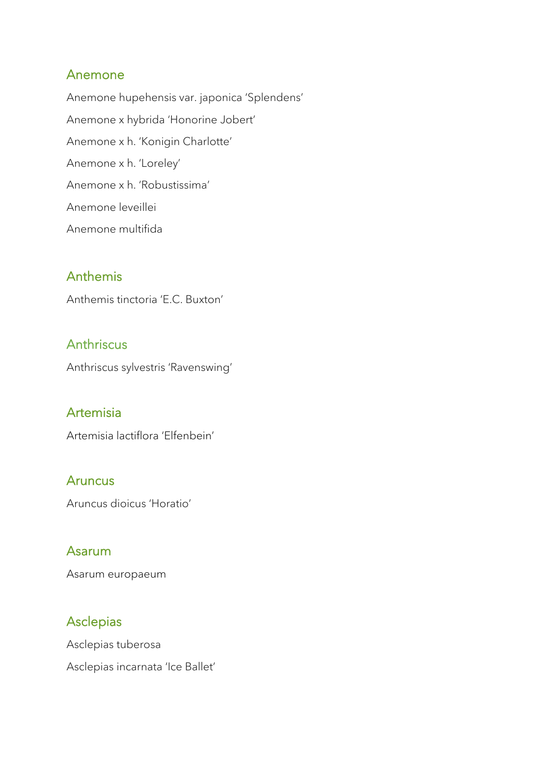#### Anemone

Anemone hupehensis var. japonica 'Splendens' Anemone x hybrida 'Honorine Jobert' Anemone x h. 'Konigin Charlotte' Anemone x h. 'Loreley' Anemone x h. 'Robustissima' Anemone leveillei Anemone multifida

### Anthemis

Anthemis tinctoria 'E.C. Buxton'

### Anthriscus

Anthriscus sylvestris 'Ravenswing'

#### Artemisia

Artemisia lactiflora 'Elfenbein'

#### **Aruncus**

Aruncus dioicus 'Horatio'

#### Asarum

Asarum europaeum

#### Asclepias

Asclepias tuberosa Asclepias incarnata 'Ice Ballet'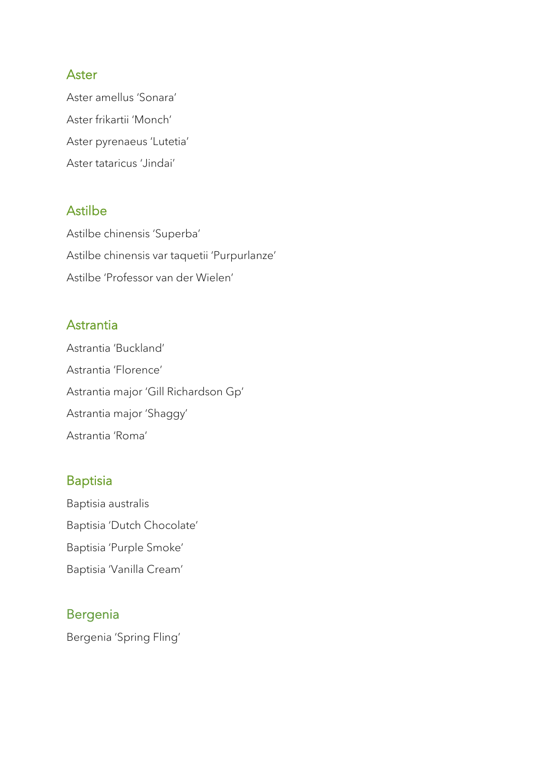#### Aster

Aster amellus 'Sonara' Aster frikartii 'Monch' Aster pyrenaeus 'Lutetia' Aster tataricus 'Jindai'

### Astilbe

Astilbe chinensis 'Superba' Astilbe chinensis var taquetii 'Purpurlanze' Astilbe 'Professor van der Wielen'

#### **Astrantia**

Astrantia 'Buckland' Astrantia 'Florence' Astrantia major 'Gill Richardson Gp' Astrantia major 'Shaggy' Astrantia 'Roma'

### Baptisia

Baptisia australis Baptisia 'Dutch Chocolate' Baptisia 'Purple Smoke' Baptisia 'Vanilla Cream'

### Bergenia

Bergenia 'Spring Fling'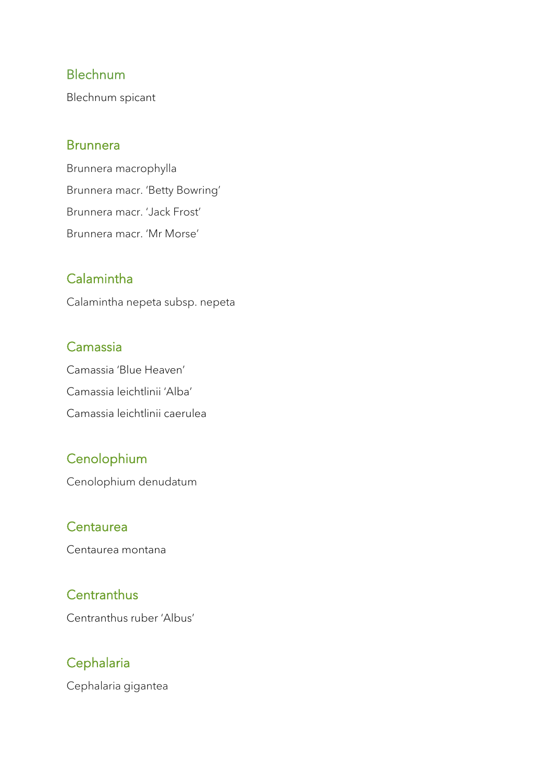#### Blechnum

Blechnum spicant

#### **Brunnera**

Brunnera macrophylla Brunnera macr. 'Betty Bowring' Brunnera macr. 'Jack Frost' Brunnera macr. 'Mr Morse'

## Calamintha

Calamintha nepeta subsp. nepeta

### Camassia

Camassia 'Blue Heaven' Camassia leichtlinii 'Alba' Camassia leichtlinii caerulea

## **Cenolophium**

Cenolophium denudatum

### Centaurea

Centaurea montana

## **Centranthus**

Centranthus ruber 'Albus'

# **Cephalaria**

Cephalaria gigantea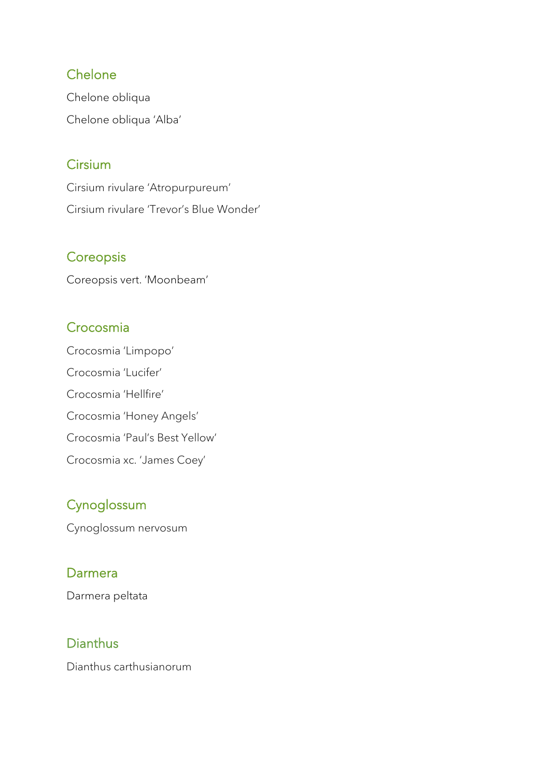### **Chelone**

Chelone obliqua Chelone obliqua 'Alba'

## **Cirsium**

Cirsium rivulare 'Atropurpureum' Cirsium rivulare 'Trevor's Blue Wonder'

## **Coreopsis**

Coreopsis vert. 'Moonbeam'

## Crocosmia

Crocosmia 'Limpopo' Crocosmia 'Lucifer' Crocosmia 'Hellfire' Crocosmia 'Honey Angels' Crocosmia 'Paul's Best Yellow' Crocosmia xc. 'James Coey'

# **Cynoglossum**

Cynoglossum nervosum

## Darmera

Darmera peltata

# Dianthus

Dianthus carthusianorum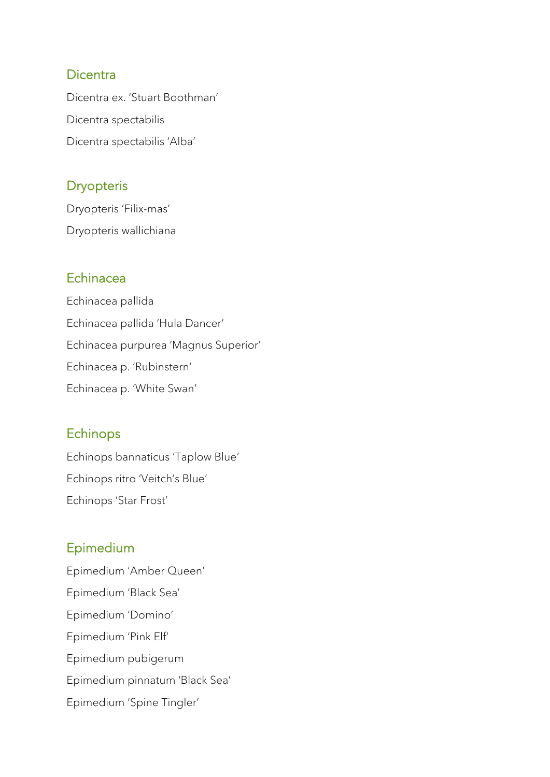#### **Dicentra**

Dicentra ex. 'Stuart Boothman' Dicentra spectabilis Dicentra spectabilis 'Alba'

### **Dryopteris**

Dryopteris 'Filix-mas' Dryopteris wallichiana

#### Echinacea

Echinacea pallida Echinacea pallida 'Hula Dancer' Echinacea purpurea 'Magnus Superior' Echinacea p. 'Rubinstern' Echinacea p. 'White Swan'

## Echinops

Echinops bannaticus 'Taplow Blue' Echinops ritro 'Veitch's Blue' Echinops 'Star Frost'

## Epimedium

Epimedium 'Amber Queen' Epimedium 'Black Sea' Epimedium 'Domino' Epimedium 'Pink Elf' Epimedium pubigerum Epimedium pinnatum 'Black Sea' Epimedium 'Spine Tingler'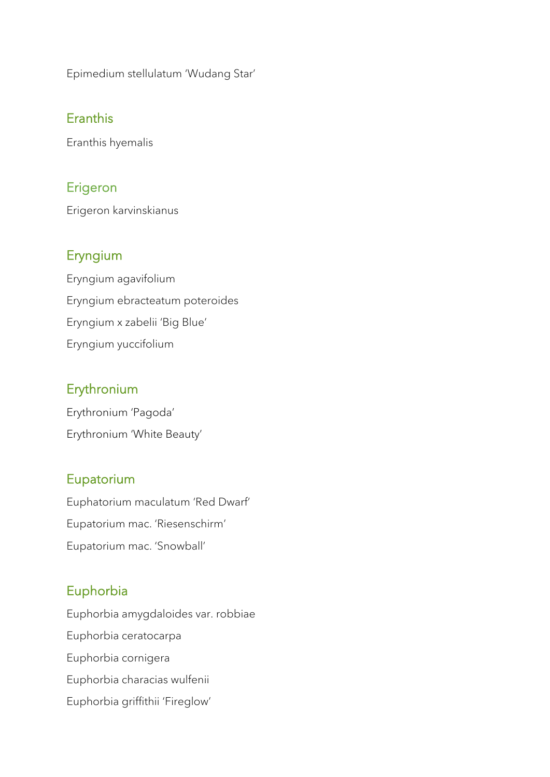Epimedium stellulatum 'Wudang Star'

## Eranthis

Eranthis hyemalis

### Erigeron

Erigeron karvinskianus

#### Eryngium

Eryngium agavifolium Eryngium ebracteatum poteroides Eryngium x zabelii 'Big Blue' Eryngium yuccifolium

#### **Erythronium**

Erythronium 'Pagoda' Erythronium 'White Beauty'

#### Eupatorium

Euphatorium maculatum 'Red Dwarf' Eupatorium mac. 'Riesenschirm' Eupatorium mac. 'Snowball'

## Euphorbia

Euphorbia amygdaloides var. robbiae Euphorbia ceratocarpa Euphorbia cornigera Euphorbia characias wulfenii Euphorbia griffithii 'Fireglow'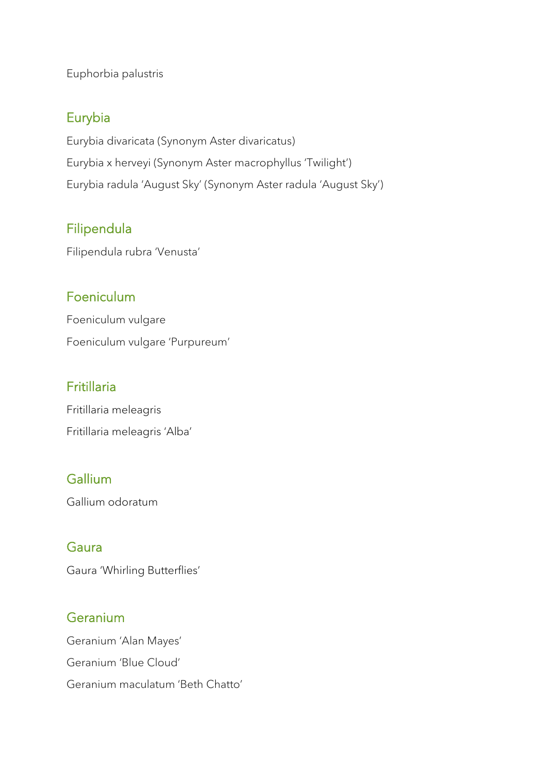Euphorbia palustris

### Eurybia

Eurybia divaricata (Synonym Aster divaricatus) Eurybia x herveyi (Synonym Aster macrophyllus 'Twilight') Eurybia radula 'August Sky' (Synonym Aster radula 'August Sky')

## Filipendula

Filipendula rubra 'Venusta'

### Foeniculum

Foeniculum vulgare Foeniculum vulgare 'Purpureum'

### Fritillaria

Fritillaria meleagris Fritillaria meleagris 'Alba'

## Gallium

Gallium odoratum

## Gaura

Gaura 'Whirling Butterflies'

### **Geranium**

Geranium 'Alan Mayes' Geranium 'Blue Cloud' Geranium maculatum 'Beth Chatto'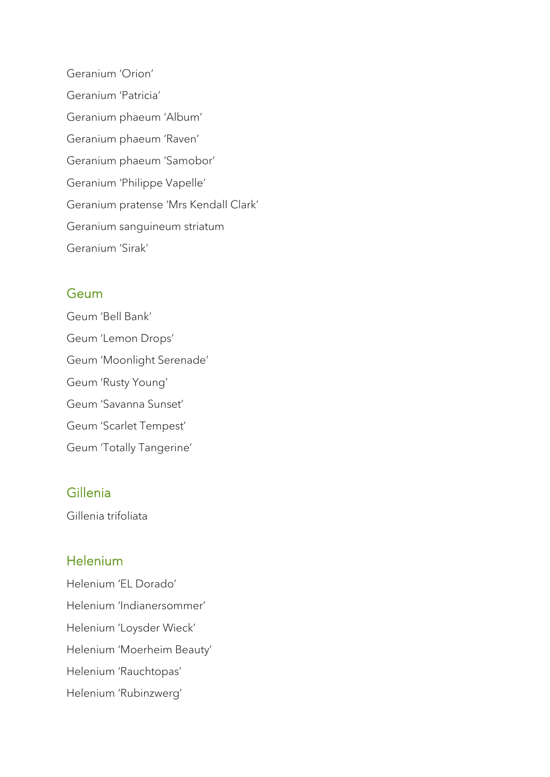Geranium 'Orion' Geranium 'Patricia' Geranium phaeum 'Album' Geranium phaeum 'Raven' Geranium phaeum 'Samobor' Geranium 'Philippe Vapelle' Geranium pratense 'Mrs Kendall Clark' Geranium sanguineum striatum Geranium 'Sirak'

#### **Geum**

Geum 'Bell Bank' Geum 'Lemon Drops' Geum 'Moonlight Serenade' Geum 'Rusty Young' Geum 'Savanna Sunset' Geum 'Scarlet Tempest' Geum 'Totally Tangerine'

### Gillenia

Gillenia trifoliata

#### Helenium

Helenium 'EL Dorado' Helenium 'Indianersommer' Helenium 'Loysder Wieck' Helenium 'Moerheim Beauty' Helenium 'Rauchtopas' Helenium 'Rubinzwerg'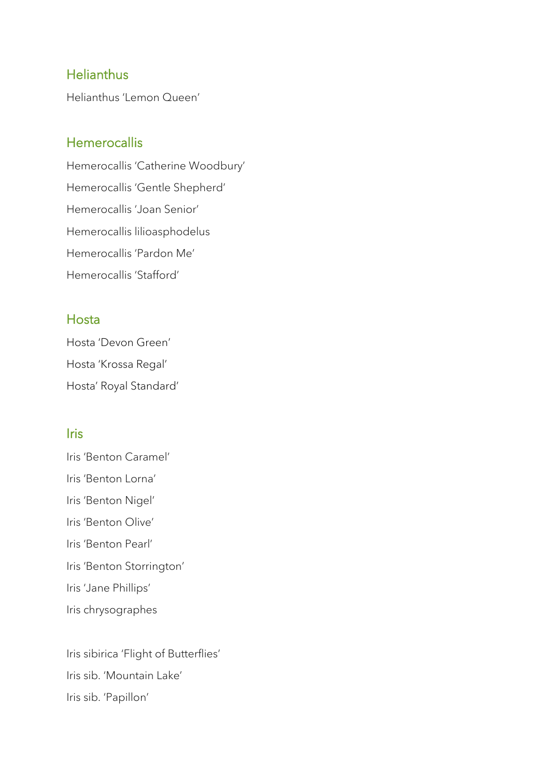#### **Helianthus**

Helianthus 'Lemon Queen'

#### **Hemerocallis**

Hemerocallis 'Catherine Woodbury' Hemerocallis 'Gentle Shepherd' Hemerocallis 'Joan Senior' Hemerocallis lilioasphodelus Hemerocallis 'Pardon Me' Hemerocallis 'Stafford'

#### Hosta

Hosta 'Devon Green' Hosta 'Krossa Regal' Hosta' Royal Standard'

#### **Iris**

Iris 'Benton Caramel' Iris 'Benton Lorna' Iris 'Benton Nigel' Iris 'Benton Olive' Iris 'Benton Pearl' Iris 'Benton Storrington' Iris 'Jane Phillips' Iris chrysographes

Iris sibirica 'Flight of Butterflies' Iris sib. 'Mountain Lake' Iris sib. 'Papillon'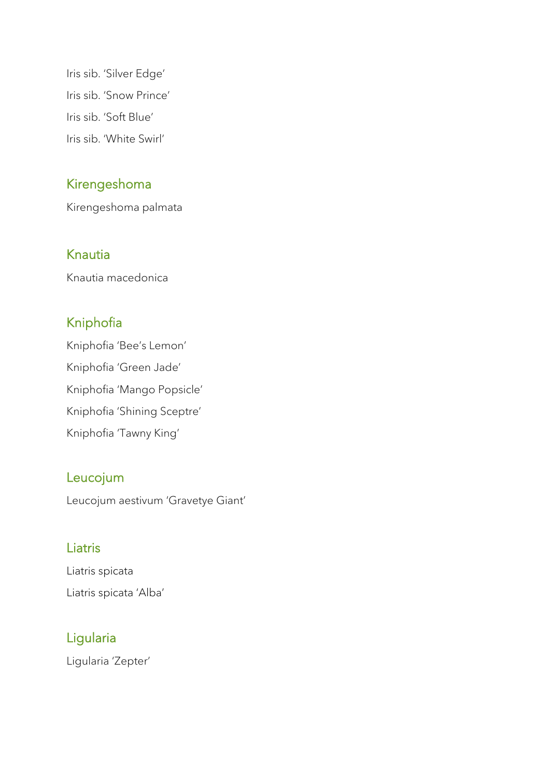Iris sib. 'Silver Edge' Iris sib. 'Snow Prince' Iris sib. 'Soft Blue' Iris sib. 'White Swirl'

### Kirengeshoma

Kirengeshoma palmata

#### Knautia

Knautia macedonica

# Kniphofia

Kniphofia 'Bee's Lemon' Kniphofia 'Green Jade' Kniphofia 'Mango Popsicle' Kniphofia 'Shining Sceptre' Kniphofia 'Tawny King'

### Leucojum

Leucojum aestivum 'Gravetye Giant'

### **Liatris**

Liatris spicata Liatris spicata 'Alba'

## Ligularia

Ligularia 'Zepter'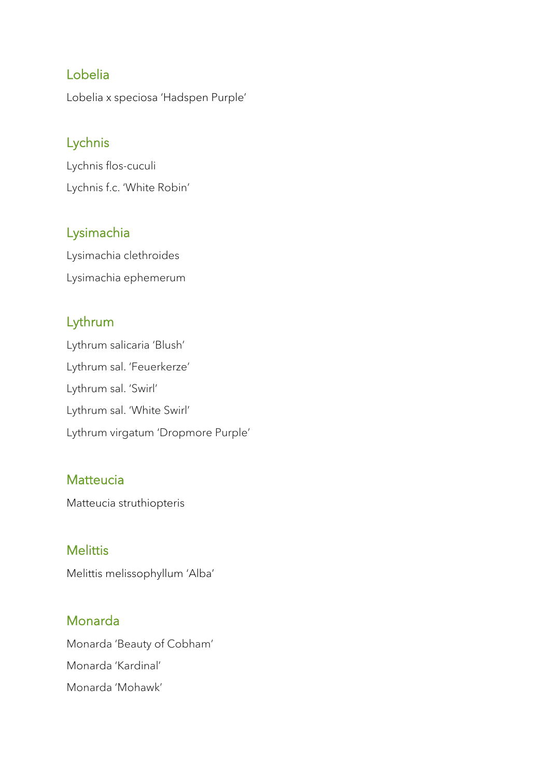### Lobelia

Lobelia x speciosa 'Hadspen Purple'

## Lychnis

Lychnis flos-cuculi Lychnis f.c. 'White Robin'

## Lysimachia

Lysimachia clethroides Lysimachia ephemerum

## Lythrum

Lythrum salicaria 'Blush' Lythrum sal. 'Feuerkerze' Lythrum sal. 'Swirl' Lythrum sal. 'White Swirl' Lythrum virgatum 'Dropmore Purple'

### **Matteucia**

Matteucia struthiopteris

## **Melittis**

Melittis melissophyllum 'Alba'

## Monarda

Monarda 'Beauty of Cobham' Monarda 'Kardinal' Monarda 'Mohawk'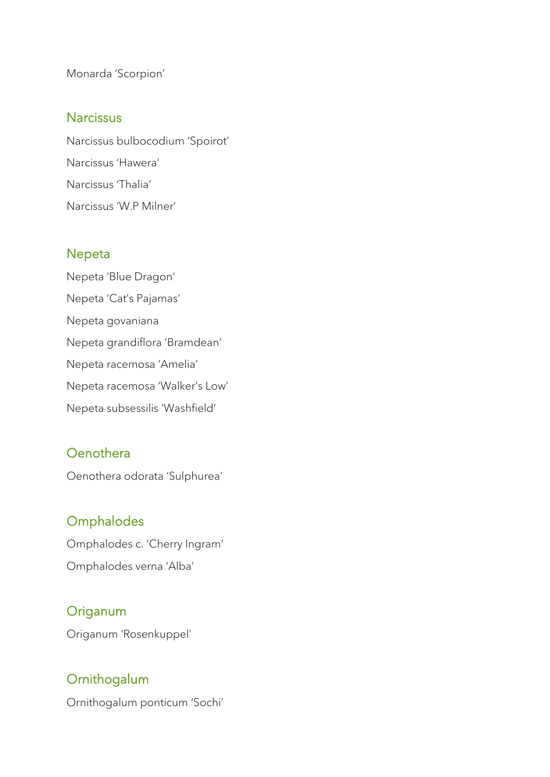Monarda 'Scorpion'

#### **Narcissus**

Narcissus bulbocodium 'Spoirot' Narcissus 'Hawera' Narcissus 'Thalia' Narcissus 'W.P Milner'

### Nepeta

Nepeta 'Blue Dragon' Nepeta 'Cat's Pajamas' Nepeta govaniana Nepeta grandiflora 'Bramdean' Nepeta racemosa 'Amelia' Nepeta racemosa 'Walker's Low' Nepeta subsessilis 'Washfield'

## **Oenothera**

Oenothera odorata 'Sulphurea'

## **Omphalodes**

Omphalodes c. 'Cherry Ingram' Omphalodes verna 'Alba'

## **Origanum**

Origanum 'Rosenkuppel'

## **Ornithogalum**

Ornithogalum ponticum 'Sochi'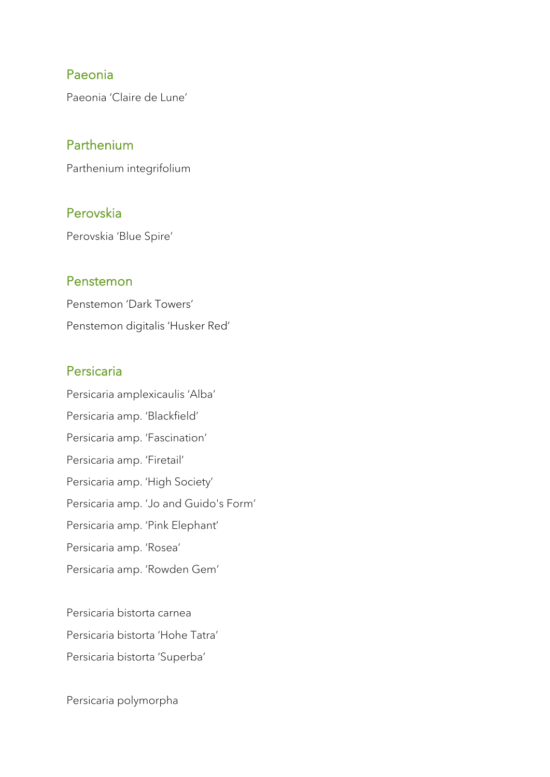#### Paeonia

Paeonia 'Claire de Lune'

#### Parthenium

Parthenium integrifolium

#### Perovskia

Perovskia 'Blue Spire'

#### Penstemon

Penstemon 'Dark Towers' Penstemon digitalis 'Husker Red'

#### Persicaria

Persicaria amplexicaulis 'Alba' Persicaria amp. 'Blackfield' Persicaria amp. 'Fascination' Persicaria amp. 'Firetail' Persicaria amp. 'High Society' Persicaria amp. 'Jo and Guido's Form' Persicaria amp. 'Pink Elephant' Persicaria amp. 'Rosea' Persicaria amp. 'Rowden Gem'

Persicaria bistorta carnea Persicaria bistorta 'Hohe Tatra' Persicaria bistorta 'Superba'

Persicaria polymorpha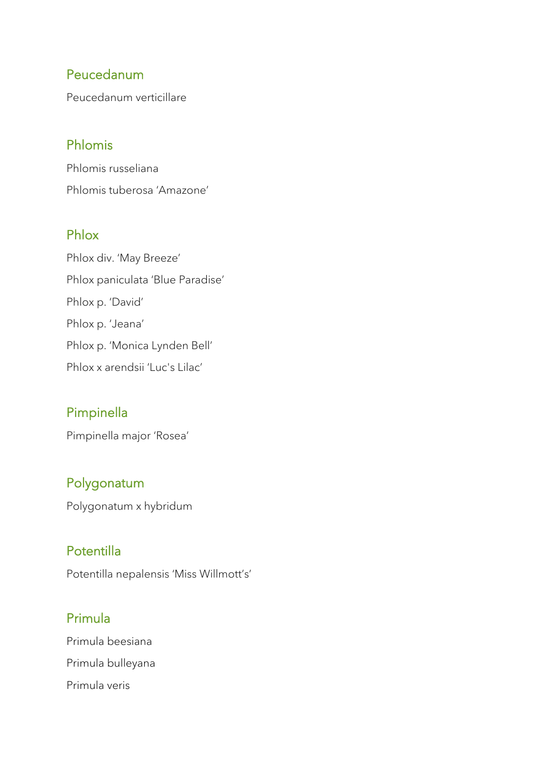## Peucedanum

Peucedanum verticillare

## Phlomis

Phlomis russeliana Phlomis tuberosa 'Amazone'

## Phlox

Phlox div. 'May Breeze' Phlox paniculata 'Blue Paradise' Phlox p. 'David' Phlox p. 'Jeana' Phlox p. 'Monica Lynden Bell' Phlox x arendsii 'Luc's Lilac'

### Pimpinella

Pimpinella major 'Rosea'

### Polygonatum

Polygonatum x hybridum

## Potentilla

Potentilla nepalensis 'Miss Willmott's'

## Primula

Primula beesiana Primula bulleyana Primula veris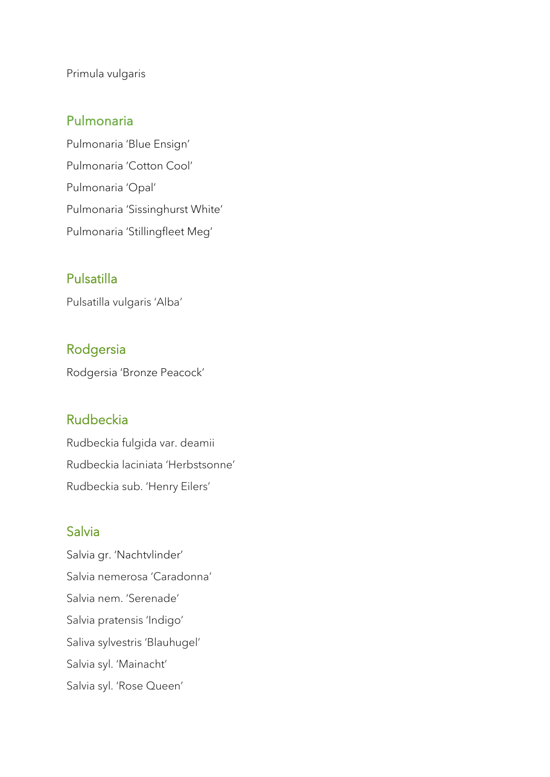Primula vulgaris

#### Pulmonaria

Pulmonaria 'Blue Ensign' Pulmonaria 'Cotton Cool' Pulmonaria 'Opal' Pulmonaria 'Sissinghurst White' Pulmonaria 'Stillingfleet Meg'

## Pulsatilla

Pulsatilla vulgaris 'Alba'

### Rodgersia

Rodgersia 'Bronze Peacock'

#### Rudbeckia

Rudbeckia fulgida var. deamii Rudbeckia laciniata 'Herbstsonne' Rudbeckia sub. 'Henry Eilers'

#### Salvia

Salvia gr. 'Nachtvlinder' Salvia nemerosa 'Caradonna' Salvia nem. 'Serenade' Salvia pratensis 'Indigo' Saliva sylvestris 'Blauhugel' Salvia syl. 'Mainacht' Salvia syl. 'Rose Queen'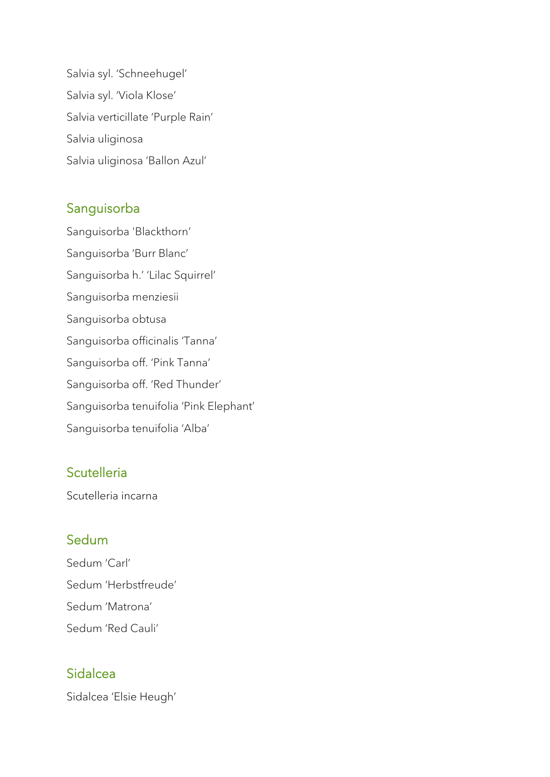Salvia syl. 'Schneehugel' Salvia syl. 'Viola Klose' Salvia verticillate 'Purple Rain' Salvia uliginosa Salvia uliginosa 'Ballon Azul'

### Sanguisorba

Sanguisorba 'Blackthorn' Sanguisorba 'Burr Blanc' Sanguisorba h.' 'Lilac Squirrel' Sanguisorba menziesii Sanguisorba obtusa Sanguisorba officinalis 'Tanna' Sanguisorba off. 'Pink Tanna' Sanguisorba off. 'Red Thunder' Sanguisorba tenuifolia 'Pink Elephant' Sanguisorba tenuifolia 'Alba'

## **Scutelleria**

Scutelleria incarna

### **Sedum**

Sedum 'Carl' Sedum 'Herbstfreude' Sedum 'Matrona' Sedum 'Red Cauli'

## Sidalcea

Sidalcea 'Elsie Heugh'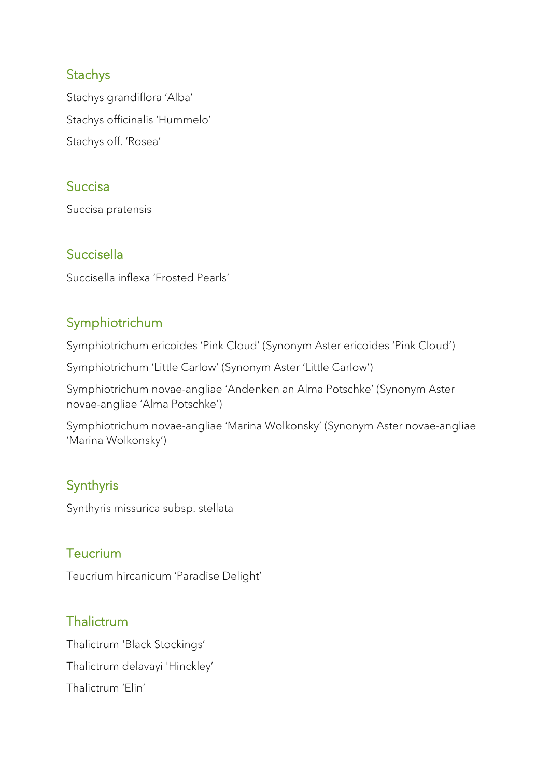### **Stachys**

Stachys grandiflora 'Alba' Stachys officinalis 'Hummelo' Stachys off. 'Rosea'

## **Succisa**

Succisa pratensis

## Succisella

Succisella inflexa 'Frosted Pearls'

## Symphiotrichum

Symphiotrichum ericoides 'Pink Cloud' (Synonym Aster ericoides 'Pink Cloud')

Symphiotrichum 'Little Carlow' (Synonym Aster 'Little Carlow')

Symphiotrichum novae-angliae 'Andenken an Alma Potschke' (Synonym Aster novae-angliae 'Alma Potschke')

Symphiotrichum novae-angliae 'Marina Wolkonsky' (Synonym Aster novae-angliae 'Marina Wolkonsky')

# Synthyris

Synthyris missurica subsp. stellata

### **Teucrium**

Teucrium hircanicum 'Paradise Delight'

## **Thalictrum**

Thalictrum 'Black Stockings' Thalictrum delavayi 'Hinckley' Thalictrum 'Elin'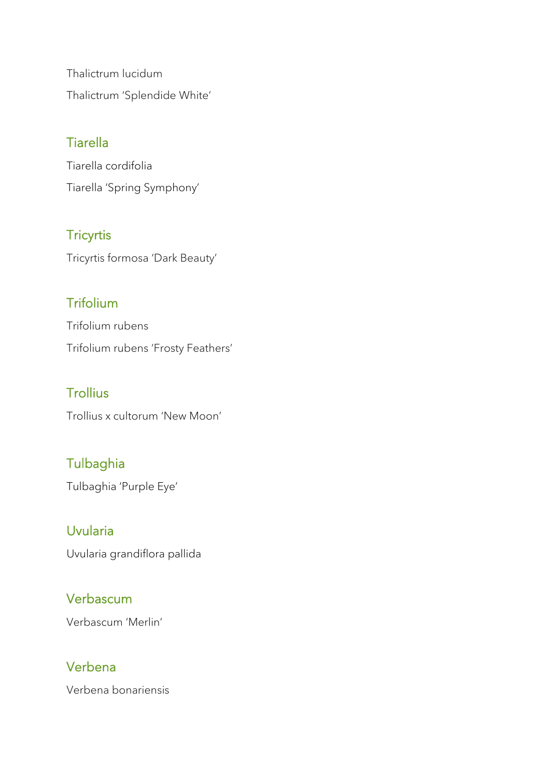Thalictrum lucidum Thalictrum 'Splendide White'

# **Tiarella**

Tiarella cordifolia Tiarella 'Spring Symphony'

## **Tricyrtis**

Tricyrtis formosa 'Dark Beauty'

# **Trifolium**

Trifolium rubens Trifolium rubens 'Frosty Feathers'

# **Trollius**

Trollius x cultorum 'New Moon'

# **Tulbaghia**

Tulbaghia 'Purple Eye'

## Uvularia

Uvularia grandiflora pallida

## Verbascum

Verbascum 'Merlin'

## Verbena

Verbena bonariensis